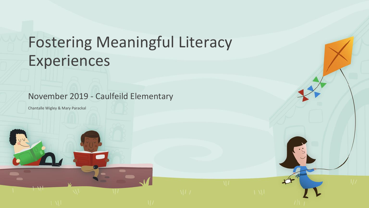### Fostering Meaningful Literacy Experiences

November 2019 - Caulfeild Elementary

Chantalle Wigley & Mary Parackal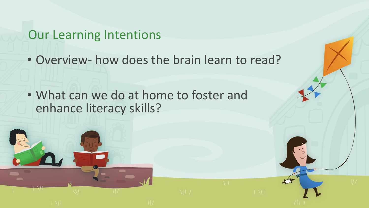### Our Learning Intentions

• Overview- how does the brain learn to read?

• What can we do at home to foster and enhance literacy skills?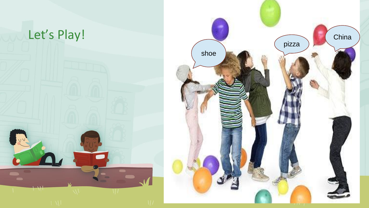

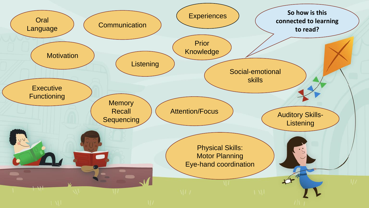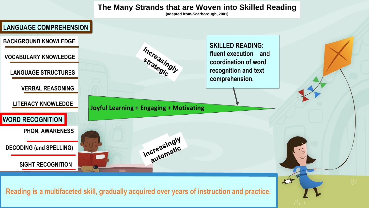#### **The Many Strands that are Woven into Skilled Reading**

**(adapted from-Scarborough, 2001)**

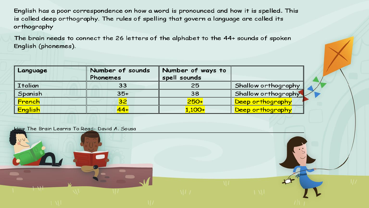English has a poor correspondence on how a word is pronounced and how it is spelled. This is called deep orthography. The rules of spelling that govern a language are called its orthography

The brain needs to connect the 26 letters of the alphabet to the 44+ sounds of spoken English (phonemes).

| Language | Number of sounds | Number of ways to |                     |
|----------|------------------|-------------------|---------------------|
|          | Phonemes         | spell sounds      |                     |
| Italian  | 33               | 25                | Shallow orthography |
| Spanish  | $35+$            | 38                | Shallow orthography |
| French   | 32               | $250+$            | Deep orthography    |
| English  | $44 +$           | $1,100+$          | Deep orthography    |

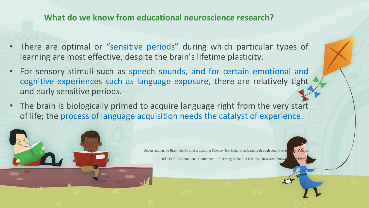#### **What do we know from educational neuroscience research?**

- There are optimal or "sensitive periods" during which particular types of learning are most effective, despite the brain's lifetime plasticity.
- For sensory stimuli such as speech sounds, and for certain emotional and cognitive experiences such as language exposure, there are relatively tight and early sensitive periods.
- The brain is biologically primed to acquire language right from the very start of life; the process of language acquisition needs the catalyst of experience.

Understanding the Brain: the Birth of a Learning Science New insights on learning through cognitive and  $\alpha$ 

OECD/CERI International Conference - "Learning in the 21st Century: Research, Innova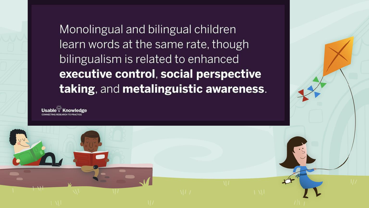Monolingual and bilingual children learn words at the same rate, though bilingualism is related to enhanced executive control, social perspective taking, and metalinguistic awareness.

Knowledge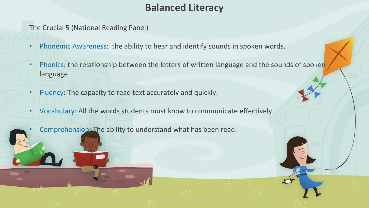#### **Balanced Literacy**

The Crucial 5 (National Reading Panel)

- Phonemic Awareness: the ability to hear and identify sounds in spoken words.
- Phonics: the relationship between the letters of written language and the sounds of spoken language.
- Fluency: The capacity to read text accurately and quickly.
- Vocabulary: All the words students must know to communicate effectively.

Comprehension: The ability to understand what has been read.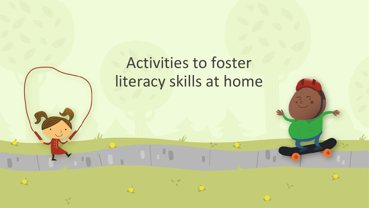## Activities to foster literacy skills at home

 $\overline{\cdot}$  .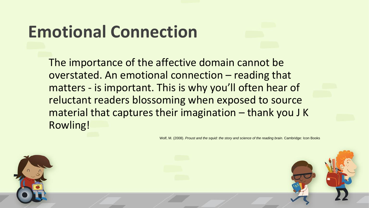# **Emotional Connection**

The importance of the affective domain cannot be overstated. An emotional connection – reading that matters - is important. This is why you'll often hear of reluctant readers blossoming when exposed to source material that captures their imagination – thank you J K Rowling!

Wolf, M. (2008). *Proust and the squid: the story and science of the reading brain.* Cambridge: Icon Books

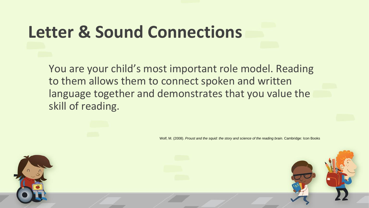## **Letter & Sound Connections**

You are your child's most important role model. Reading to them allows them to connect spoken and written language together and demonstrates that you value the skill of reading.

Wolf, M. (2008). *Proust and the squid: the story and science of the reading brain.* Cambridge: Icon Books

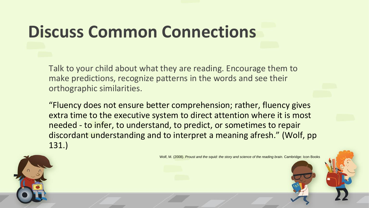# **Discuss Common Connections**

Talk to your child about what they are reading. Encourage them to make predictions, recognize patterns in the words and see their orthographic similarities.

"Fluency does not ensure better comprehension; rather, fluency gives extra time to the executive system to direct attention where it is most needed - to infer, to understand, to predict, or sometimes to repair discordant understanding and to interpret a meaning afresh." (Wolf, pp 131.)

Wolf, M. (2008). *Proust and the squid: the story and science of the reading brain.* Cambridge: Icon Books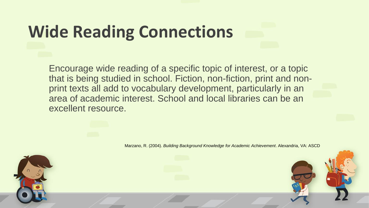# **Wide Reading Connections**

Encourage wide reading of a specific topic of interest, or a topic that is being studied in school. Fiction, non-fiction, print and nonprint texts all add to vocabulary development, particularly in an area of academic interest. School and local libraries can be an excellent resource.

Marzano, R. (2004). *Building Background Knowledge for Academic Achievement*. Alexandria, VA: ASCD

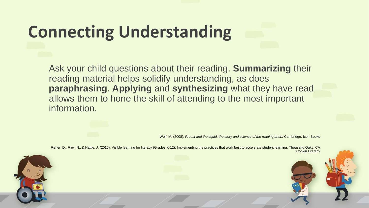# **Connecting Understanding**

Ask your child questions about their reading. **Summarizing** their reading material helps solidify understanding, as does **paraphrasing**. **Applying** and **synthesizing** what they have read allows them to hone the skill of attending to the most important information.

Wolf, M. (2008). *Proust and the squid: the story and science of the reading brain.* Cambridge: Icon Books

Fisher, D., Frey, N., & Hattie, J. (2016). Visible learning for literacy (Grades K-12): Implementing the practices that work best to accelerate student learning. Thousand Oaks, CA :Corwin Literacy

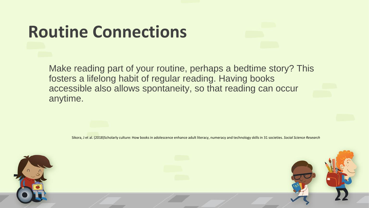# **Routine Connections**

Make reading part of your routine, perhaps a bedtime story? This fosters a lifelong habit of regular reading. Having books accessible also allows spontaneity, so that reading can occur anytime.

Sikora, J et al. (2018)Scholarly culture: How books in adolescence enhance adult literacy, numeracy and technology skills in 31 societies. *Social Science Research*

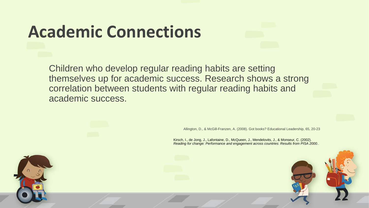# **Academic Connections**

Children who develop regular reading habits are setting themselves up for academic success. Research shows a strong correlation between students with regular reading habits and academic success.

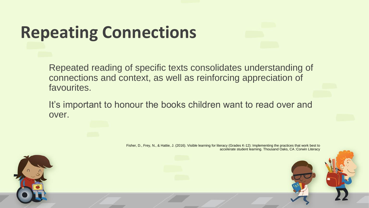# **Repeating Connections**

Repeated reading of specific texts consolidates understanding of connections and context, as well as reinforcing appreciation of favourites.

It's important to honour the books children want to read over and over.

> Fisher, D., Frey, N., & Hattie, J. (2016). Visible learning for literacy (Grades K-12): Implementing the practices that work best to accelerate student learning. Thousand Oaks, CA :Corwin Literacy